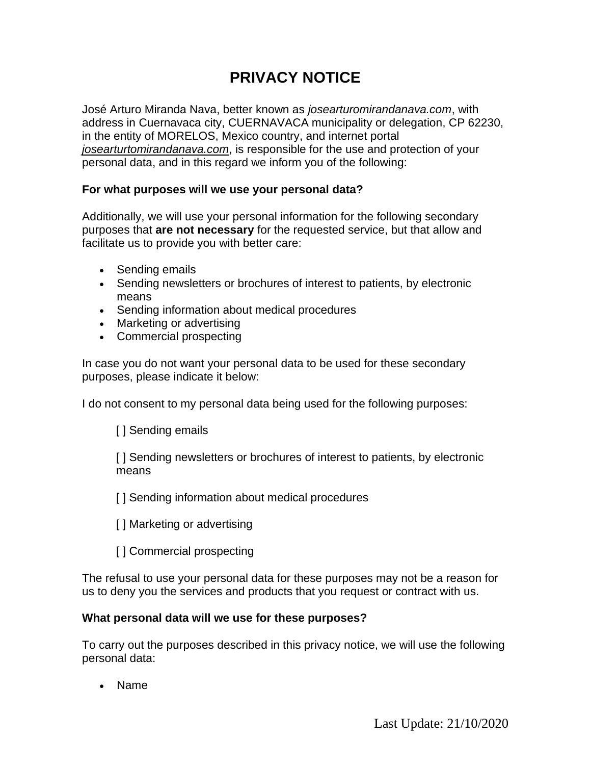# **PRIVACY NOTICE**

José Arturo Miranda Nava, better known as *josearturomirandanava.com*, with address in Cuernavaca city, CUERNAVACA municipality or delegation, CP 62230, in the entity of MORELOS, Mexico country, and internet portal *josearturtomirandanava.com*, is responsible for the use and protection of your personal data, and in this regard we inform you of the following:

## **For what purposes will we use your personal data?**

Additionally, we will use your personal information for the following secondary purposes that **are not necessary** for the requested service, but that allow and facilitate us to provide you with better care:

- Sending emails
- Sending newsletters or brochures of interest to patients, by electronic means
- Sending information about medical procedures
- Marketing or advertising
- Commercial prospecting

In case you do not want your personal data to be used for these secondary purposes, please indicate it below:

I do not consent to my personal data being used for the following purposes:

[ ] Sending emails

[ ] Sending newsletters or brochures of interest to patients, by electronic means

[ ] Sending information about medical procedures

- [ ] Marketing or advertising
- [ ] Commercial prospecting

The refusal to use your personal data for these purposes may not be a reason for us to deny you the services and products that you request or contract with us.

## **What personal data will we use for these purposes?**

To carry out the purposes described in this privacy notice, we will use the following personal data:

• Name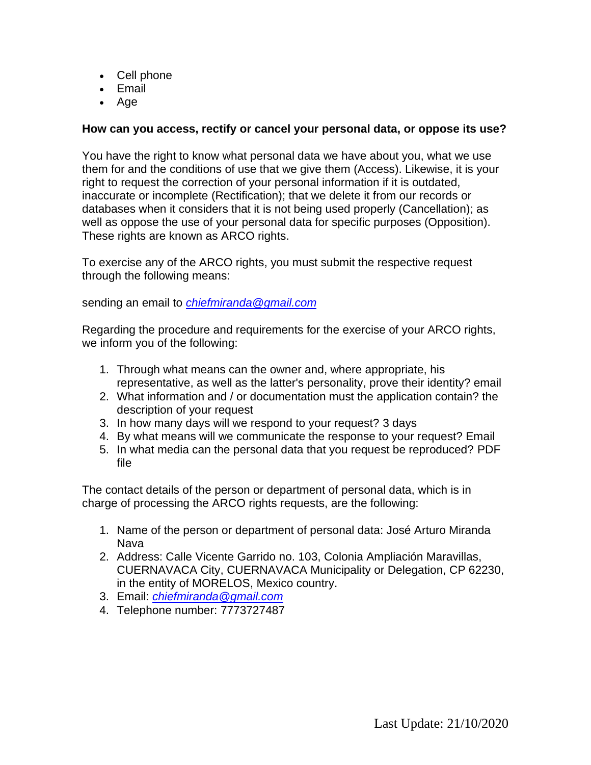- Cell phone
- Email
- Age

## **How can you access, rectify or cancel your personal data, or oppose its use?**

You have the right to know what personal data we have about you, what we use them for and the conditions of use that we give them (Access). Likewise, it is your right to request the correction of your personal information if it is outdated, inaccurate or incomplete (Rectification); that we delete it from our records or databases when it considers that it is not being used properly (Cancellation); as well as oppose the use of your personal data for specific purposes (Opposition). These rights are known as ARCO rights.

To exercise any of the ARCO rights, you must submit the respective request through the following means:

sending an email to *[chiefmiranda@gmail.com](mailto:chiefmiranda@gmail.com)*

Regarding the procedure and requirements for the exercise of your ARCO rights, we inform you of the following:

- 1. Through what means can the owner and, where appropriate, his representative, as well as the latter's personality, prove their identity? email
- 2. What information and / or documentation must the application contain? the description of your request
- 3. In how many days will we respond to your request? 3 days
- 4. By what means will we communicate the response to your request? Email
- 5. In what media can the personal data that you request be reproduced? PDF file

The contact details of the person or department of personal data, which is in charge of processing the ARCO rights requests, are the following:

- 1. Name of the person or department of personal data: José Arturo Miranda Nava
- 2. Address: Calle Vicente Garrido no. 103, Colonia Ampliación Maravillas, CUERNAVACA City, CUERNAVACA Municipality or Delegation, CP 62230, in the entity of MORELOS, Mexico country.
- 3. Email: *[chiefmiranda@gmail.com](mailto:celulasedu@gmail.com)*
- 4. Telephone number: 7773727487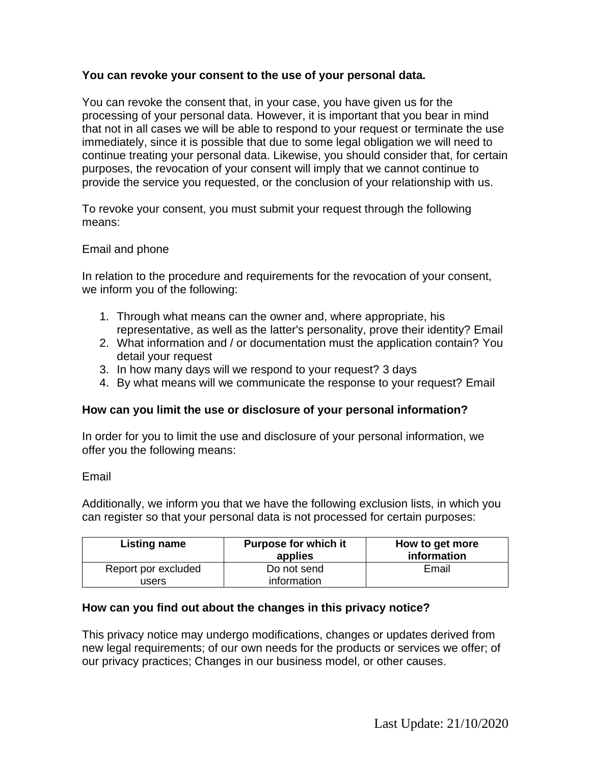## **You can revoke your consent to the use of your personal data.**

You can revoke the consent that, in your case, you have given us for the processing of your personal data. However, it is important that you bear in mind that not in all cases we will be able to respond to your request or terminate the use immediately, since it is possible that due to some legal obligation we will need to continue treating your personal data. Likewise, you should consider that, for certain purposes, the revocation of your consent will imply that we cannot continue to provide the service you requested, or the conclusion of your relationship with us.

To revoke your consent, you must submit your request through the following means:

## Email and phone

In relation to the procedure and requirements for the revocation of your consent, we inform you of the following:

- 1. Through what means can the owner and, where appropriate, his representative, as well as the latter's personality, prove their identity? Email
- 2. What information and / or documentation must the application contain? You detail your request
- 3. In how many days will we respond to your request? 3 days
- 4. By what means will we communicate the response to your request? Email

## **How can you limit the use or disclosure of your personal information?**

In order for you to limit the use and disclosure of your personal information, we offer you the following means:

## Email

Additionally, we inform you that we have the following exclusion lists, in which you can register so that your personal data is not processed for certain purposes:

| Listing name        | <b>Purpose for which it</b><br>applies | How to get more<br>information |
|---------------------|----------------------------------------|--------------------------------|
| Report por excluded | Do not send                            | Email                          |
| users               | information                            |                                |

## **How can you find out about the changes in this privacy notice?**

This privacy notice may undergo modifications, changes or updates derived from new legal requirements; of our own needs for the products or services we offer; of our privacy practices; Changes in our business model, or other causes.